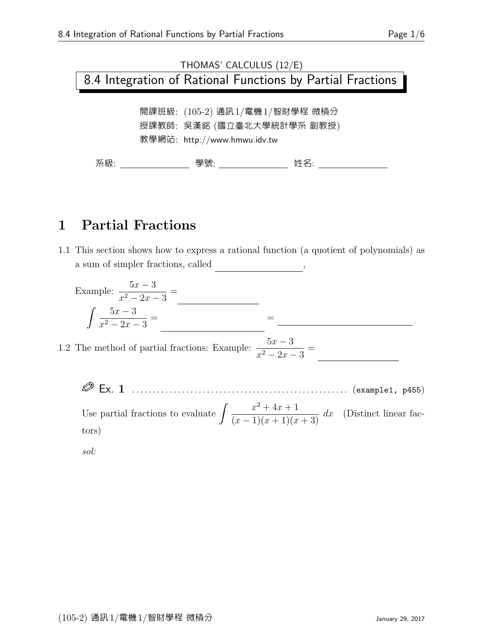# THOMAS' CALCULUS (12/E) 8.4 Integration of Rational Functions by Partial Fractions 開課班級: (105-2) 通訊1/電機1/智財學程 微積分 授課教師: 吳漢銘 (國立臺北大學統計學系 副教授) 教學網站: http://www.hmwu.idv.tw 系級: 學號: 姓名:

### 1 Partial Fractions

1.1 This section shows how to express a rational function (a quotient of polynomials) as a sum of simpler fractions, called  $\frac{1}{\sqrt{1-\frac{1}{n}}\cdot\frac{1}{n}}$ 

Example: 
$$
\frac{5x-3}{x^2-2x-3} =
$$

$$
\int \frac{5x-3}{x^2-2x-3} =
$$

$$
1.2 \text{ The method of partial fractions: Example: } \frac{5x-3}{x^2-2x-3} =
$$

 Ex. 1 . . . . . . . . . . . . . . . . . . . . . . . . . . . . . . . . . . . . . . . . . . . . . . . . . . . . (example1, p455) Use partial fractions to evaluate  $\int \frac{x^2 + 4x + 1}{(x-1)(x-1)^2} dx$  $\frac{x}{(x-1)(x+1)(x+3)} dx$  (Distinct linear factors)

sol: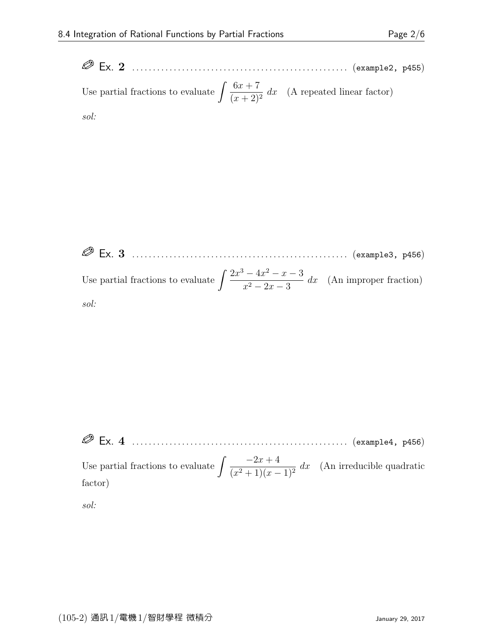Ex. 2 . . . . . . . . . . . . . . . . . . . . . . . . . . . . . . . . . . . . . . . . . . . . . . . . . . . . (example2, p455) Use partial fractions to evaluate  $\int \frac{6x+7}{(x+2)^3}$  $\frac{3x+1}{(x+2)^2}$  dx (A repeated linear factor) sol:

 Ex. 3 . . . . . . . . . . . . . . . . . . . . . . . . . . . . . . . . . . . . . . . . . . . . . . . . . . . . (example3, p456) Use partial fractions to evaluate  $\int \frac{2x^3 - 4x^2 - x - 3}{x^2 - 3x + 3}$  $\frac{1}{x^2-2x-3}$  dx (An improper fraction) sol:

 Ex. 4 . . . . . . . . . . . . . . . . . . . . . . . . . . . . . . . . . . . . . . . . . . . . . . . . . . . . (example4, p456) Use partial fractions to evaluate  $\int \frac{-2x+4}{(x^2+4)}$  $\frac{2x+1}{(x^2+1)(x-1)^2} dx$  (An irreducible quadratic factor) sol: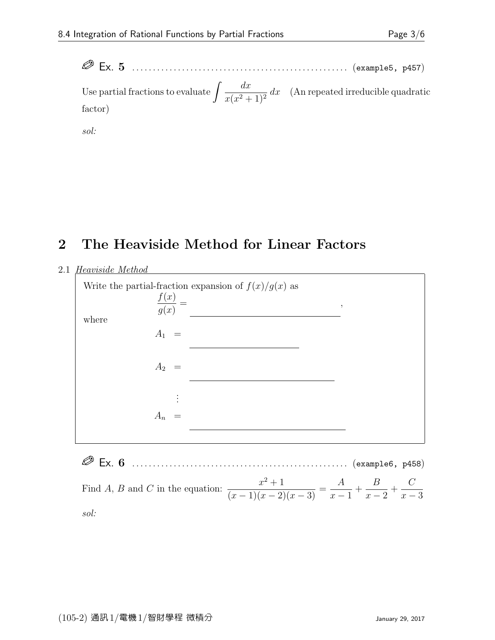Ex. 5 . . . . . . . . . . . . . . . . . . . . . . . . . . . . . . . . . . . . . . . . . . . . . . . . . . . . (example5, p457) Use partial fractions to evaluate  $\int \frac{dx}{\sqrt{2\pi}}$  $\frac{dx}{x(x^2+1)^2} dx$  (An repeated irreducible quadratic factor)

sol:

#### 2 The Heaviside Method for Linear Factors

#### 2.1 Heaviside Method



 Ex. 6 . . . . . . . . . . . . . . . . . . . . . . . . . . . . . . . . . . . . . . . . . . . . . . . . . . . . (example6, p458) Find A, B and C in the equation:  $\frac{x^2+1}{(x-1)(x-2)}$  $\frac{x}{(x-1)(x-2)(x-3)} =$ A  $x - 1$  $+$ B  $x - 2$  $+$  $\mathcal{C}_{0}^{(n)}$  $x - 3$ sol: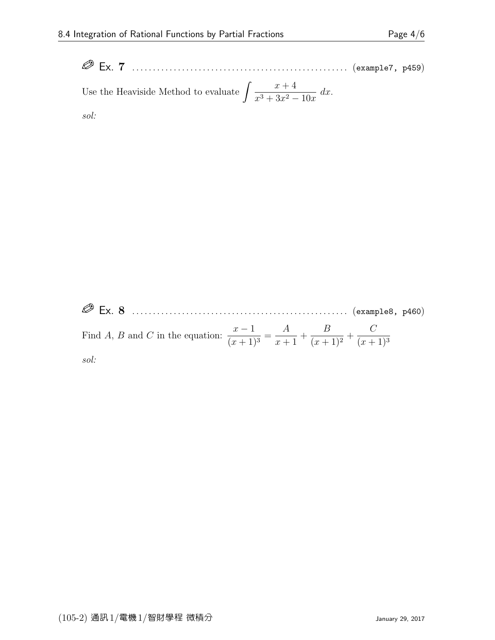Ex. 7 . . . . . . . . . . . . . . . . . . . . . . . . . . . . . . . . . . . . . . . . . . . . . . . . . . . . (example7, p459) Use the Heaviside Method to evaluate  $\int \frac{x+4}{x^2+2x+2}$  $\frac{x}{x^3+3x^2-10x}$  dx. sol:

 Ex. 8 . . . . . . . . . . . . . . . . . . . . . . . . . . . . . . . . . . . . . . . . . . . . . . . . . . . . (example8, p460) Find A, B and C in the equation:  $\frac{x-1}{(x+1)^2}$  $\frac{x}{(x+1)^3} =$ A  $x + 1$  $+$ B  $\frac{2}{(x+1)^2} +$  $\mathcal{C}_{0}^{(n)}$  $(x+1)^3$ sol: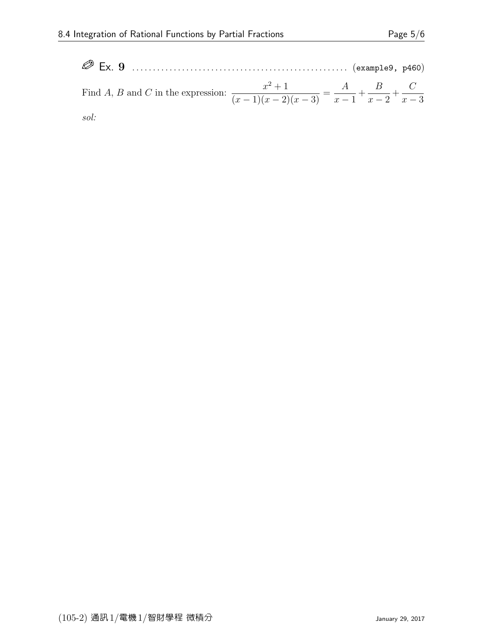| $\otimes$ Ex. 9 |                                                                                                                    |  |
|-----------------|--------------------------------------------------------------------------------------------------------------------|--|
|                 | Find A, B and C in the expression: $\frac{x^2+1}{(x-1)(x-2)(x-3)} = \frac{A}{x-1} + \frac{B}{x-2} + \frac{C}{x-3}$ |  |
| sol:            |                                                                                                                    |  |

 $(105-2)$  通訊 $1/\sqrt{m}$ 機 $1/\sqrt{2}$ 財學程 微積分  $(105-2)$   $(105-2)$   $(105-2)$   $(2017)$